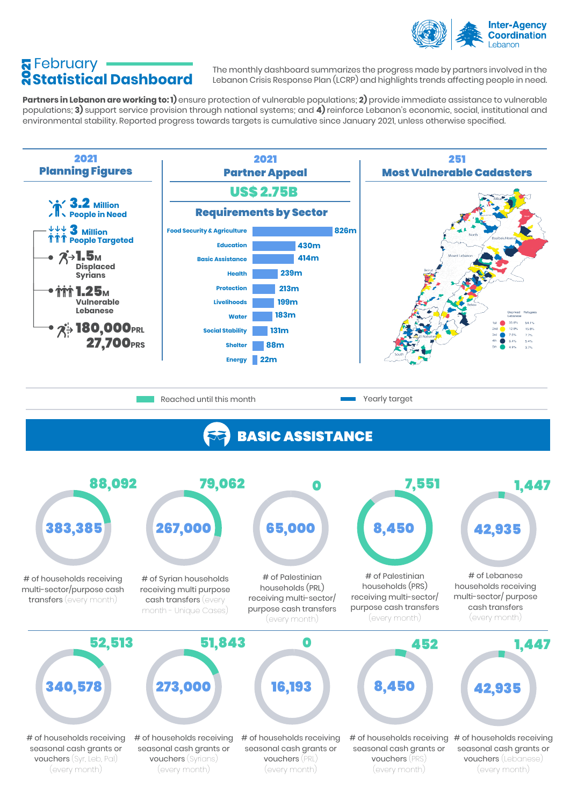

## February 2021 **Statistical Dashboard**

The monthly dashboard summarizes the progress made by partners involved in the Lebanon Crisis Response Plan (LCRP) and highlights trends affecting people in need.

**Partners in Lebanon are working to: 1)** ensure protection of vulnerable populations; **2)** provide immediate assistance to vulnerable populations; **3)** support service provision through national systems; and **4)** reinforce Lebanon's economic, social, institutional and environmental stability. Reported progress towards targets is cumulative since January 2021, unless otherwise specified.

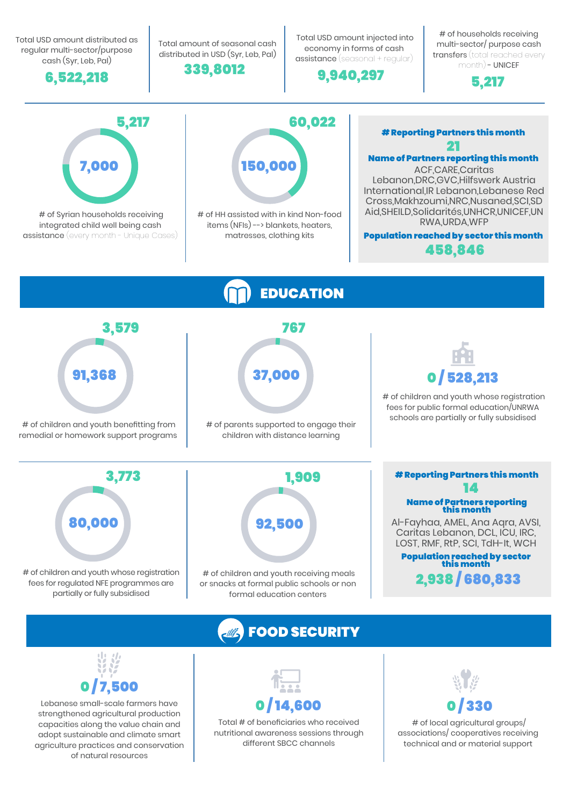Total USD amount distributed as regular multi-sector/purpose cash (Syr, Leb, Pal)



Total amount of seasonal cash distributed in USD (Syr, Leb, Pal)



 Total USD amount injected into economy in forms of cash assistance (seasonal + regular)

9,940,297

# of households receiving multi-sector/ purpose cash transfers (total reached every month) - UNICEF



## EDUCATION # of children and youth whose registration fees for public formal education/UNRWA schools are partially or fully subsidised 0 / 528,213 # of children and youth receiving meals or snacks at formal public schools or non formal education centers # of children and youth whose registration fees for regulated NFE programmes are partially or fully subsidised 3,773 80,000 # of children and youth benefitting from remedial or homework support programs 3,579 91,368 # of parents supported to engage their children with distance learning 767 37,000 1,909 92,500 FOOD SECURITY Population reached by sector this month 14 2,938 / 680,833 Al-Fayhaa, AMEL, Ana Aqra, AVSI, Caritas Lebanon, DCL, ICU, IRC, LOST, RMF, RtP, SCI, TdH-It, WCH Name of Partners reporting<br>this month # Reporting Partners this month # of Syrian households receiving integrated child well being cash assistance (every month - Unique Cases) 5,217 7,000 # of HH assisted with in kind Non-food items (NFIs) --> blankets, heaters, matresses, clothing kits 60,022 150,000 21 458,846 ACF,CARE,Caritas Lebanon,DRC,GVC,Hilfswerk Austria International,IR Lebanon,Lebanese Red Cross,Makhzoumi,NRC,Nusaned,SCI,SD Aid,SHEILD,Solidarités,UNHCR,UNICEF,UN RWA,URDA,WFP Name of Partners reporting this month Population reached by sector this month # Reporting Partners this month



Lebanese small-scale farmers have strengthened agricultural production capacities along the value chain and adopt sustainable and climate smart agriculture practices and conservation of natural resources



Total # of beneficiaries who received nutritional awareness sessions through different SBCC channels



 # of local agricultural groups/ associations/ cooperatives receiving technical and or material support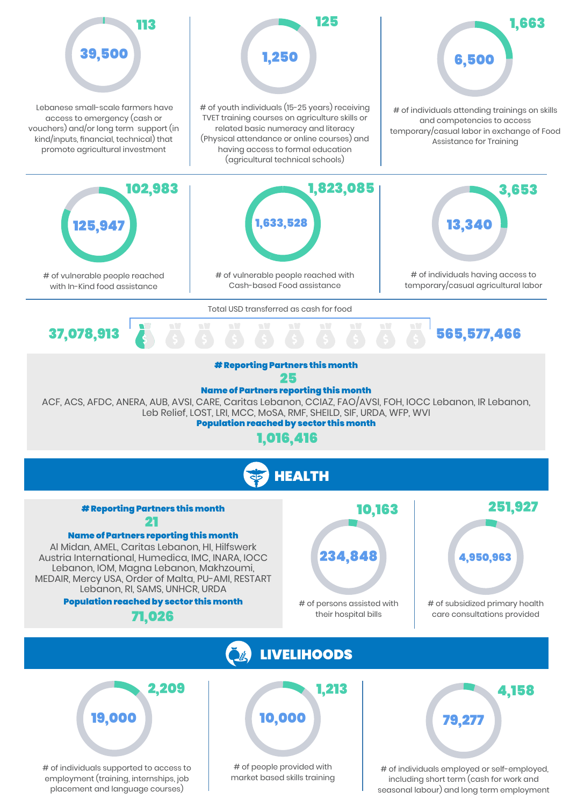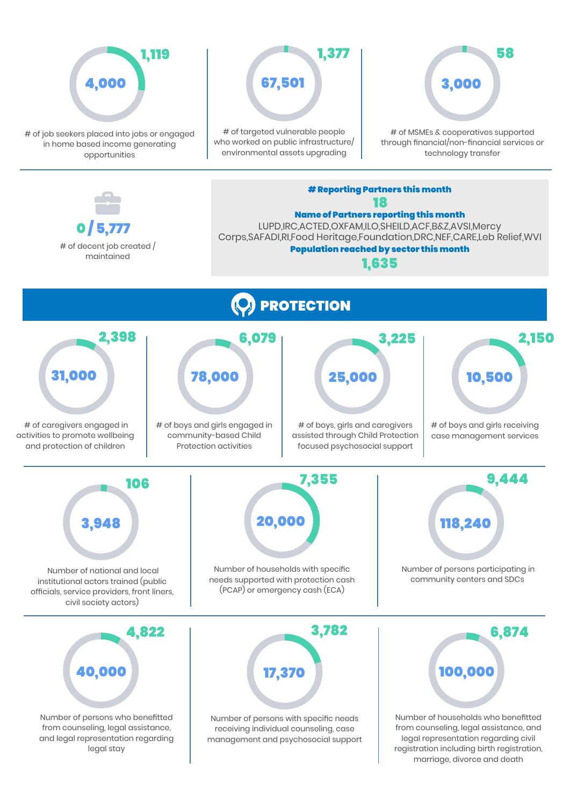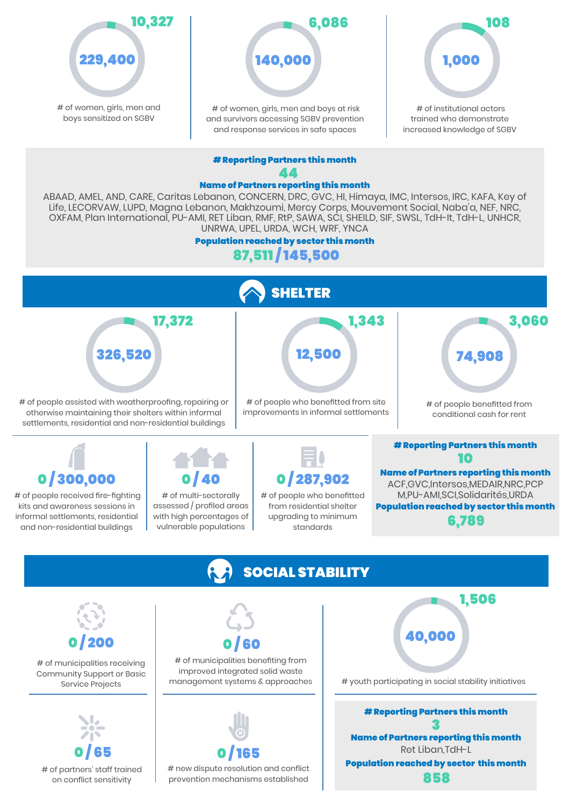